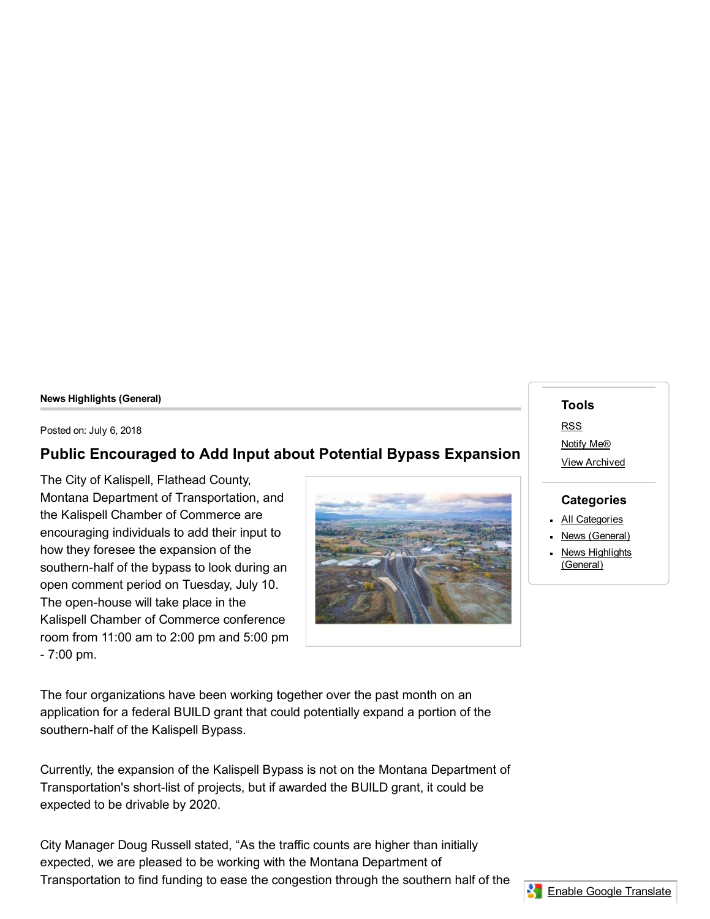#### News Highlights (General)

Posted on: July 6, 2018

#### Public Encouraged to Add Input about Potential Bypass Expansion

The City of Kalispell, Flathead County, Montana Department of Transportation, and the Kalispell Chamber of Commerce are encouraging individuals to add their input to how they foresee the expansion of the southern-half of the bypass to look during an open comment period on Tuesday, July 10. The open-house will take place in the Kalispell Chamber of Commerce conference room from 11:00 am to 2:00 pm and 5:00 pm 7:00 pm.



Tools [RSS](http://www.kalispell.com/rss.aspx#rssCivicAlerts) [Notify](http://www.kalispell.com/civicalerts.aspx?Mode=Subscribe) Me® View [Archived](http://www.kalispell.com/civicalerts.aspx?ARC=L&What=2&CC=2&ItemID=64&From=AID%3d64) **Categories All [Categories](http://www.kalispell.com/CivicAlerts.aspx)** News [\(General\)](http://www.kalispell.com/CivicAlerts.aspx?CID=6) News [Highlights](http://www.kalispell.com/CivicAlerts.aspx?CID=1) (General)

The four organizations have been working together over the past month on an application for a federal BUILD grant that could potentially expand a portion of the southern-half of the Kalispell Bypass.

Currently, the expansion of the Kalispell Bypass is not on the Montana Department of Transportation's short-list of projects, but if awarded the BUILD grant, it could be expected to be drivable by 2020.

City Manager Doug Russell stated, "As the traffic counts are higher than initially expected, we are pleased to be working with the Montana Department of Transportation to find funding to ease the congestion through the southern half of the

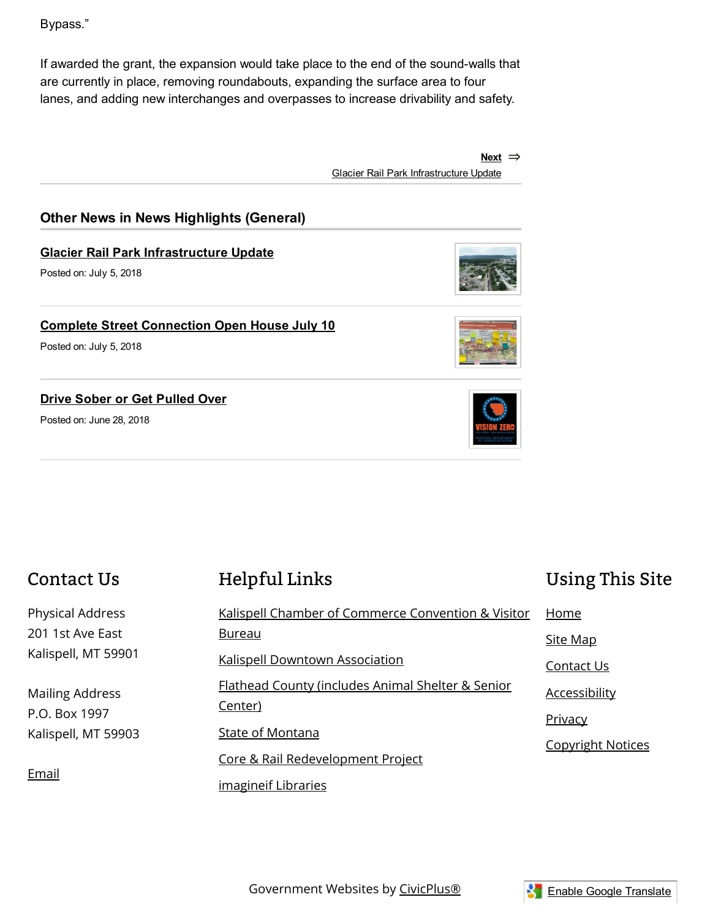Bypass."

If awarded the grant, the expansion would take place to the end of the sound-walls that are currently in place, removing roundabouts, expanding the surface area to four lanes, and adding new interchanges and overpasses to increase drivability and safety.

> Next ⇒ Glacier Rail Park [Infrastructure](http://www.kalispell.com/CivicAlerts.aspx?AID=63) Update

### Other News in News Highlights (General)

#### Glacier Rail Park [Infrastructure](http://www.kalispell.com/CivicAlerts.aspx?AID=63) Update

Posted on: July 5, 2018

#### Complete Street [Connection](http://www.kalispell.com/CivicAlerts.aspx?AID=62) Open House July 10

Posted on: July 5, 2018

#### Drive Sober or Get [Pulled](http://www.kalispell.com/CivicAlerts.aspx?AID=59) Over

Posted on: June 28, 2018





# Contact Us

Physical Address 201 1st Ave East Kalispell, MT 59901

Mailing Address P.O. Box 1997 Kalispell, MT 59903

[Email](http://www.kalispell.com/directory)

## [Helpful](http://www.kalispell.com/QuickLinks.aspx?CID=13,22,) Links

| Kalispell Chamber of Commerce Convention & Visitor           | Home                     |
|--------------------------------------------------------------|--------------------------|
| <u>Bureau</u>                                                | Site Map                 |
| <b>Kalispell Downtown Association</b>                        | Contact Us               |
| Flathead County (includes Animal Shelter & Senior<br>Center) | <b>Accessibility</b>     |
| State of Montana                                             | <b>Privacy</b>           |
|                                                              | <b>Copyright Notices</b> |
| Core & Rail Redevelopment Project                            |                          |
| imagineif Libraries                                          |                          |



[Using](http://www.kalispell.com/QuickLinks.aspx?CID=40,) This Site